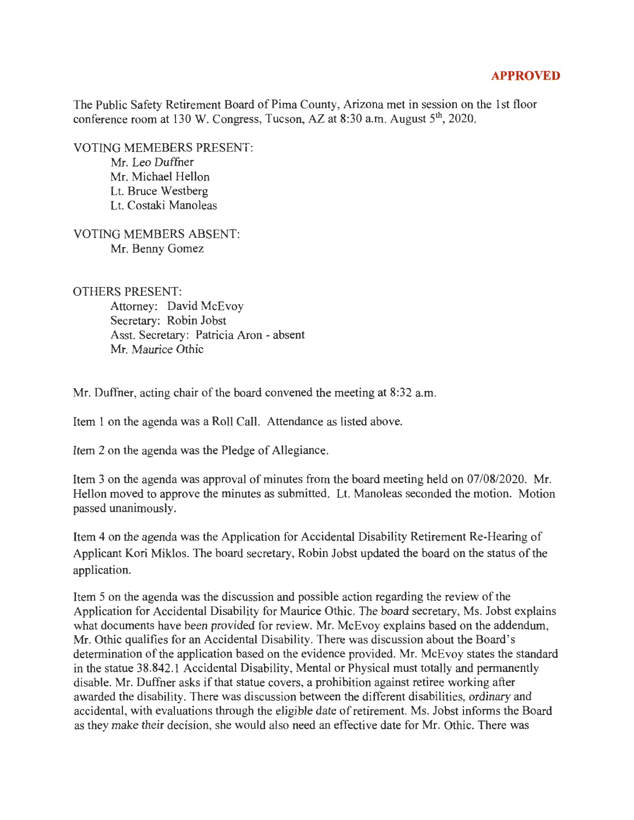## **APPROVED**

The Public Safety Retirement Board of Pima County, Arizona met in session on the 1st floor conference room at 130 W. Congress, Tucson, AZ at 8:30 a.m. August 5<sup>th</sup>, 2020.

VOTING MEMEBERS PRESENT: Mr. Leo Duffner Mr. Michael Hellon Lt. Bruce Westberg Lt. Costaki Manoleas

VOTING MEMBERS ABSENT: Mr. Benny Gomez

OTHERS PRESENT:

Attorney: David McEvoy Secretary: Robin Jobst Asst. Secretary: Patricia Aron - absent Mr. Maurice Othic

Mr. Duffner, acting chair of the board convened the meeting at 8:32 a.m.

Item 1 on the agenda was a Roll Call. Attendance as listed above.

Item 2 on the agenda was the Pledge of Allegiance.

Item 3 on the agenda was approval of minutes from the board meeting held on 07/08/2020. Mr. Hellon moved to approve the minutes as submitted. Lt. Manoleas seconded the motion. Motion passed unanimously.

Item 4 on the agenda was the Application for Accidental Disability Retirement Re-Hearing of Applicant Kori Miklos. The board secretary, Robin Jobst updated the board on the status of the application.

Item 5 on the agenda was the discussion and possible action regarding the review of the Application for Accidental Disability for Maurice Othic. The board secretary, Ms. Jobst explains what documents have been provided for review. Mr. McEvoy explains based on the addendum, Mr. Othic qualifies for an Accidental Disability. There was discussion about the Board's determination of the application based on the evidence provided. Mr. McEvoy states the standard in the statue 38.842.1 Accidental Disability, Mental or Physical must totally and permanently disable. Mr. Duffner asks if that statue covers, a prohibition against retiree working after awarded the disability. There was discussion between the different disabilities, ordinary and accidental, with evaluations through the eligible date of retirement. Ms. Jobst informs the Board as they make their decision, she would also need an effective date for Mr. Othic. There was